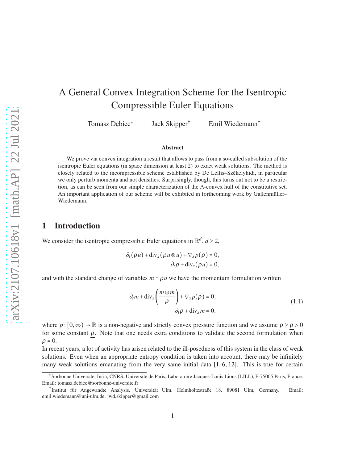# A General Convex Integration Scheme for the Isentropic Compressible Euler Equations

Tomasz Dębiec\* Jack Skipper<sup>†</sup> Emil Wiedemann<sup>†</sup>

#### Abstract

We prove via convex integration a result that allows to pass from a so-called subsolution of the isentropic Euler equations (in space dimension at least 2) to exact weak solutions. The method is closely related to the incompressible scheme established by De Lellis–Székelyhidi, in particular we only perturb momenta and not densities. Surprisingly, though, this turns out not to be a restriction, as can be seen from our simple characterization of the Λ-convex hull of the constitutive set. An important application of our scheme will be exhibited in forthcoming work by Gallenmüller– Wiedemann.

### 1 Introduction

We consider the isentropic compressible Euler equations in  $\mathbb{R}^d$ ,  $d \ge 2$ ,

$$
\partial_t (\rho u) + \text{div}_x (\rho u \otimes u) + \nabla_x p(\rho) = 0,
$$
  

$$
\partial_t \rho + \text{div}_x (\rho u) = 0,
$$

and with the standard change of variables  $m = \rho u$  we have the momentum formulation written

<span id="page-0-0"></span>
$$
\partial_t m + \text{div}_x \left( \frac{m \otimes m}{\rho} \right) + \nabla_x p(\rho) = 0, \n\partial_t \rho + \text{div}_x m = 0,
$$
\n(1.1)

where  $p : [0, \infty) \to \mathbb{R}$  is a non-negative and strictly convex pressure function and we assume  $\rho \ge \rho > 0$ for some constant  $\rho$ . Note that one needs extra conditions to validate the second formulation when  $\rho = 0$ .

In recent years, a lot of activity has arisen related to the ill-posedness of this system in the class of weak solutions. Even when an appropriate entropy condition is taken into account, there may be infinitely many weak solutions emanating from the very same initial data  $[1, 6, 12]$  $[1, 6, 12]$  $[1, 6, 12]$  $[1, 6, 12]$ . This is true for certain

<sup>\*</sup>Sorbonne Université, Inria, CNRS, Université de Paris, Laboratoire Jacques-Louis Lions (LJLL), F-75005 Paris, France. Email: tomasz.debiec@sorbonne-universite.fr

<sup>†</sup> Institut für Angewandte Analysis, Universität Ulm, Helmholtzstraße 18, 89081 Ulm, Germany. Email: emil.wiedemann@uni-ulm.de, jwd.skipper@gmail.com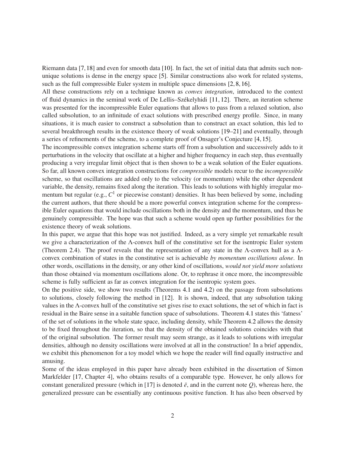Riemann data [\[7,](#page-19-2)[18\]](#page-20-1) and even for smooth data [\[10\]](#page-20-2). In fact, the set of initial data that admits such nonunique solutions is dense in the energy space [\[5\]](#page-19-3). Similar constructions also work for related systems, such as the full compressible Euler system in multiple space dimensions [\[2,](#page-19-4) [8,](#page-19-5) [16\]](#page-20-3).

All these constructions rely on a technique known as *convex integration*, introduced to the context of fluid dynamics in the seminal work of De Lellis–Székelyhidi [\[11,](#page-20-4) [12\]](#page-20-0). There, an iteration scheme was presented for the incompressible Euler equations that allows to pass from a relaxed solution, also called subsolution, to an infinitude of exact solutions with prescribed energy profile. Since, in many situations, it is much easier to construct a subsolution than to construct an exact solution, this led to several breakthrough results in the existence theory of weak solutions [\[19–](#page-20-5)[21\]](#page-20-6) and eventually, through a series of refinements of the scheme, to a complete proof of Onsager's Conjecture [\[4,](#page-19-6) [15\]](#page-20-7).

The incompressible convex integration scheme starts off from a subsolution and successively adds to it perturbations in the velocity that oscillate at a higher and higher frequency in each step, thus eventually producing a very irregular limit object that is then shown to be a weak solution of the Euler equations. So far, all known convex integration constructions for *compressible* models recur to the *incompressible* scheme, so that oscillations are added only to the velocity (or momentum) while the other dependent variable, the density, remains fixed along the iteration. This leads to solutions with highly irregular momentum but regular (e.g., *C* 1 or piecewise constant) densities. It has been believed by some, including the current authors, that there should be a more powerful convex integration scheme for the compressible Euler equations that would include oscillations both in the density and the momentum, und thus be genuinely compressible. The hope was that such a scheme would open up further possibilities for the existence theory of weak solutions.

In this paper, we argue that this hope was not justified. Indeed, as a very simple yet remarkable result we give a characterization of the Λ-convex hull of the constitutive set for the isentropic Euler system (Theorem [2.4\)](#page-5-0). The proof reveals that the representation of any state in the Λ-convex hull as a Λconvex combination of states in the constitutive set is achievable *by momentum oscillations alone*. In other words, oscillations in the density, or any other kind of oscillations, *would not yield more solutions* than those obtained via momentum oscillations alone. Or, to rephrase it once more, the incompressible scheme is fully sufficient as far as convex integration for the isentropic system goes.

On the positive side, we show two results (Theorems [4.1](#page-18-0) and [4.2\)](#page-19-7) on the passage from subsolutions to solutions, closely following the method in [\[12\]](#page-20-0). It is shown, indeed, that any subsolution taking values in the Λ-convex hull of the constitutive set gives rise to exact solutions, the set of which in fact is residual in the Baire sense in a suitable function space of subsolutions. Theorem [4.1](#page-18-0) states this 'fatness' of the set of solutions in the whole state space, including density, while Theorem [4.2](#page-19-7) allows the density to be fixed throughout the iteration, so that the density of the obtained solutions coincides with that of the original subsolution. The former result may seem strange, as it leads to solutions with irregular densities, although no density oscillations were involved at all in the construction! In a brief appendix, we exhibit this phenomenon for a toy model which we hope the reader will find equally instructive and amusing.

Some of the ideas employed in this paper have already been exhibited in the dissertation of Simon Markfelder [\[17,](#page-20-8) Chapter 4], who obtains results of a comparable type. However, he only allows for constant generalized pressure (which in [\[17\]](#page-20-8) is denoted  $\bar{e}$ , and in the current note *Q*), whereas here, the generalized pressure can be essentially any continuous positive function. It has also been observed by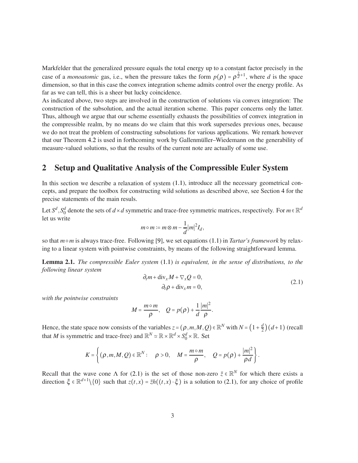Markfelder that the generalized pressure equals the total energy up to a constant factor precisely in the case of a *monoatomic* gas, i.e., when the pressure takes the form  $p(\rho) = \rho^{\frac{2}{d}+1}$ , where *d* is the space dimension, so that in this case the convex integration scheme admits control over the energy profile. As far as we can tell, this is a sheer but lucky coincidence.

As indicated above, two steps are involved in the construction of solutions via convex integration: The construction of the subsolution, and the actual iteration scheme. This paper concerns only the latter. Thus, although we argue that our scheme essentially exhausts the possibilities of convex integration in the compressible realm, by no means do we claim that this work supersedes previous ones, because we do not treat the problem of constructing subsolutions for various applications. We remark however that our Theorem [4.2](#page-19-7) is used in forthcoming work by Gallenmüller–Wiedemann on the generability of measure-valued solutions, so that the results of the current note are actually of some use.

## 2 Setup and Qualitative Analysis of the Compressible Euler System

In this section we describe a relaxation of system [\(1.1\)](#page-0-0), introduce all the necessary geometrical concepts, and prepare the toolbox for constructing wild solutions as described above, see Section [4](#page-15-0) for the precise statements of the main resuls.

Let  $S^d$ ,  $S_0^d$  denote the sets of *d* × *d* symmetric and trace-free symmetric matrices, respectively. For  $m \in \mathbb{R}^d$ let us write

$$
m \circ m := m \otimes m - \frac{1}{d} |m|^2 I_d,
$$

so that *m*○*m* is always trace-free. Following [\[9\]](#page-19-8), we set equations [\(1.1\)](#page-0-0) in *Tartar's framework* by relaxing to a linear system with pointwise constraints, by means of the following straightforward lemma.

<span id="page-2-1"></span>Lemma 2.1. *The compressible Euler system* [\(1.1\)](#page-0-0) *is equivalent, in the sense of distributions, to the following linear system*

<span id="page-2-0"></span>
$$
\partial_t m + \text{div}_x M + \nabla_x Q = 0,
$$
  
\n
$$
\partial_t \rho + \text{div}_x m = 0,
$$
\n(2.1)

*with the pointwise constraints*

$$
M=\frac{m\circ m}{\rho}, \quad Q=p(\rho)+\frac{1}{d}\frac{|m|^2}{\rho}.
$$

Hence, the state space now consists of the variables  $z = (\rho, m, M, Q) \in \mathbb{R}^N$  with  $N = (1 + \frac{d}{2})^N$  $\frac{d}{2}$  $\big)$  $(d+1)$  (recall that *M* is symmetric and trace-free) and  $\mathbb{R}^N \simeq \mathbb{R} \times \mathbb{R}^d \times S_0^d \times \mathbb{R}$ . Set

$$
K=\left\{(\rho,m,M,Q)\in\mathbb{R}^N:\quad\rho>0,\quad M=\frac{m\circ m}{\rho},\quad Q=p(\rho)+\frac{|m|^2}{\rho d}\right\}.
$$

Recall that the wave cone  $\Lambda$  for [\(2.1\)](#page-2-0) is the set of those non-zero  $\bar{z} \in \mathbb{R}^N$  for which there exists a direction  $\xi \in \mathbb{R}^{d+1} \setminus \{0\}$  such that  $z(t,x) = \overline{z}h((t,x) \cdot \xi)$  is a solution to [\(2.1\)](#page-2-0), for any choice of profile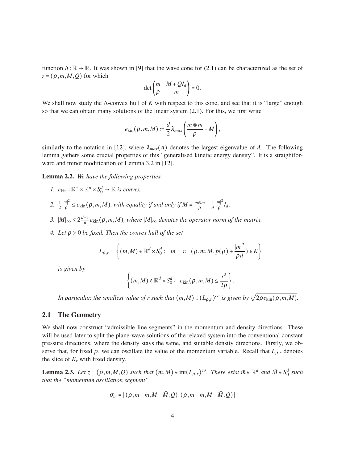function  $h : \mathbb{R} \to \mathbb{R}$ . It was shown in [\[9\]](#page-19-8) that the wave cone for [\(2.1\)](#page-2-0) can be characterized as the set of  $z = (\rho, m, M, Q)$  for which

$$
\det\begin{pmatrix} m & M + QI_d \\ \rho & m \end{pmatrix} = 0.
$$

We shall now study the Λ-convex hull of *K* with respect to this cone, and see that it is "large" enough so that we can obtain many solutions of the linear system [\(2.1\)](#page-2-0). For this, we first write

$$
e_{\text{kin}}(\rho,m,M):=\frac{d}{2}\lambda_{max}\bigg(\frac{m\otimes m}{\rho}-M\bigg),\,
$$

similarly to the notation in [\[12\]](#page-20-0), where  $\lambda_{max}(A)$  denotes the largest eigenvalue of A. The following lemma gathers some crucial properties of this "generalised kinetic energy density". It is a straightforward and minor modification of Lemma 3.2 in [\[12\]](#page-20-0).

<span id="page-3-0"></span>Lemma 2.2. *We have the following properties:*

- *1.*  $e_{\text{kin}} : \mathbb{R}^+ \times \mathbb{R}^d \times S_0^d \to \mathbb{R}$  *is convex.*
- 2.  $\frac{1}{2}$ ∣*m*∣ 2  $\frac{m^2}{\rho} \leq e_{\text{kin}}(\rho, m, M)$ , with equality if and only if  $M = \frac{m \otimes m}{\rho}$  $\frac{\otimes m}{\rho} - \frac{1}{d}$ *d* ∣*m*∣ 2  $\frac{n_1}{\rho}I_d$ .
- *3.*  $|M|_{∞}$  ≤ 2 $\frac{d-1}{d}$  $\frac{-1}{d}$   $e_{\text{kin}}(\rho, m, M)$ , where  $|M|_{\infty}$  denotes the operator norm of the matrix.
- *4. Let* <sup>ρ</sup> > 0 *be fixed. Then the convex hull of the set*

$$
L_{\rho,r} \coloneqq \left\{ (m,M) \in \mathbb{R}^d \times S_0^d : \ |m| = r, \ \ (\rho,m,M,p(\rho) + \frac{|m|^2}{\rho d}) \in K \right\}
$$

*is given by*

$$
\left\{(m,M)\in\mathbb{R}^d\times S_0^d:\ e_{\text{kin}}(\rho,m,M)\leq \frac{r^2}{2\rho}\right\}.
$$

*In particular, the smallest value of r such that*  $(m, M) \in (L_{\rho,r})^{co}$  *is given by*  $\sqrt{2\rho e_{\text{kin}}(\rho, m, M)}$ *.* 

### 2.1 The Geometry

We shall now construct "admissible line segments" in the momentum and density directions. These will be used later to split the plane-wave solutions of the relaxed system into the conventional constant pressure directions, where the density stays the same, and suitable density directions. Firstly, we observe that, for fixed  $\rho$ , we can oscillate the value of the momentum variable. Recall that  $L_{\rho,r}$  denotes the slice of  $K_r$  with fixed density.

<span id="page-3-1"></span>**Lemma 2.3.** Let  $z = (\rho, m, M, Q)$  such that  $(m, M) \in \text{int}(L_{\rho,r})^{co}$ . There exist  $\bar{m} \in \mathbb{R}^d$  and  $\bar{M} \in S_0^d$  such *that the "momentum oscillation segment"*

$$
\sigma_m = \big[ (\rho, m-\bar{m}, M-\bar{M}, Q), (\rho, m+\bar{m}, M+\bar{M}, Q) \big]
$$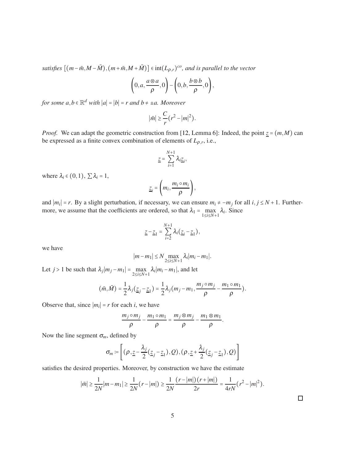*satisfies*  $[(m - \bar{m}, M - \bar{M}), (m + \bar{m}, M + \bar{M})] \in int(L_{\rho,r})^{co}$ , and is parallel to the vector

$$
\left(0,a,\frac{a\otimes a}{\rho},0\right)-\left(0,b,\frac{b\otimes b}{\rho},0\right),\right
$$

*for some*  $a, b \in \mathbb{R}^d$  *with*  $|a| = |b| = r$  *and*  $b \neq \pm a$ . Moreover

$$
|\bar{m}| \geq \frac{C}{r} (r^2 - |m|^2).
$$

*Proof.* We can adapt the geometric construction from [\[12,](#page-20-0) Lemma 6]: Indeed, the point  $z = (m, M)$  can be expressed as a finite convex combination of elements of  $L_{\rho,r}$ , i.e.,

$$
\underline{z} = \sum_{i=1}^{N+1} \lambda_i \underline{z}_i,
$$

where  $\lambda_i \in (0,1)$ ,  $\sum \lambda_i = 1$ ,

$$
\underline{z}_i = \left(m_i, \frac{m_i \circ m_i}{\rho}\right),
$$

and  $|m_i| = r$ . By a slight perturbation, if necessary, we can ensure  $m_i \neq -m_j$  for all  $i, j \leq N + 1$ . Furthermore, we assume that the coefficients are ordered, so that  $\lambda_1 = \max_{1 \le i \le N+1} \lambda_i$ . Since

$$
\underline{z}-\underline{z}_1=\sum_{i=2}^{N+1}\lambda_i(\underline{z}_i-\underline{z}_1),
$$

we have

$$
|m-m_1|\leq N\max_{2\leq i\leq N+1}\lambda_i|m_i-m_1|.
$$

Let *j* > 1 be such that  $\lambda_j |m_j - m_1| = \max_{2 \le i \le N+1} \lambda_i |m_i - m_1|$ , and let

$$
(\bar{m},\bar{M})=\frac{1}{2}\lambda_j(\underline{z}_j-\underline{z}_1)=\frac{1}{2}\lambda_j(m_j-m_1,\frac{m_j\circ m_j}{\rho}-\frac{m_1\circ m_1}{\rho}).
$$

Observe that, since  $|m_i| = r$  for each *i*, we have

$$
\frac{m_j \circ m_j}{\rho} - \frac{m_1 \circ m_1}{\rho} = \frac{m_j \otimes m_j}{\rho} - \frac{m_1 \otimes m_1}{\rho}.
$$

Now the line segment  $\sigma_m$ , defined by

$$
\sigma_m \coloneqq \left[ (\rho_{1,\underline{z}} - \frac{\lambda_j}{2}(\underline{z}_j - \underline{z}_1), Q), (\rho_{1,\underline{z}} + \frac{\lambda_j}{2}(\underline{z}_j - \underline{z}_1), Q) \right]
$$

satisfies the desired properties. Moreover, by construction we have the estimate

$$
|\bar{m}| \ge \frac{1}{2N} |m - m_1| \ge \frac{1}{2N} (r - |m|) \ge \frac{1}{2N} \frac{(r - |m|)(r + |m|)}{2r} = \frac{1}{4rN} (r^2 - |m|^2).
$$

 $\Box$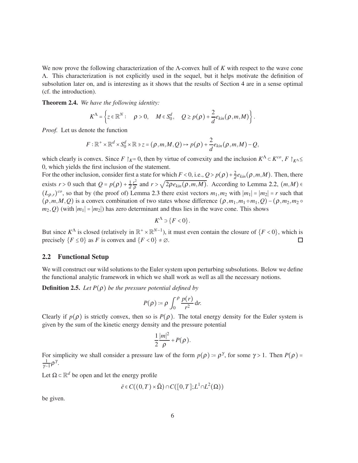We now prove the following characterization of the Λ-convex hull of *K* with respect to the wave cone Λ. This characterization is not explicitly used in the sequel, but it helps motivate the definition of subsolution later on, and is interesting as it shows that the results of Section [4](#page-15-0) are in a sense optimal (cf. the introduction).

<span id="page-5-0"></span>Theorem 2.4. *We have the following identity:*

$$
K^{\Lambda}=\left\{z\in\mathbb{R}^N:\quad\rho>0,\quad M\in S_0^d,\quad Q\geq p(\rho)+\frac{2}{d}e_{kin}(\rho,m,M)\right\}.
$$

*Proof.* Let us denote the function

$$
F:\mathbb{R}^+\times\mathbb{R}^d\times S_0^d\times\mathbb{R}\ni z=(\rho,m,M,Q)\mapsto p(\rho)+\frac{2}{d}e_{kin}(\rho,m,M)-Q,
$$

which clearly is convex. Since  $F \upharpoonright_K = 0$ , then by virtue of convexity and the inclusion  $K^{\Lambda} \subset K^{co}, F \upharpoonright_{K^{\Lambda}} \leq$ 0, which yields the first inclusion of the statement.

For the other inclusion, consider first a state for which  $F < 0$ , i.e.,  $Q > p(\rho) + \frac{2}{d}$  $\frac{2}{d}e_{kin}(\rho,m,M)$ . Then, there exists  $r > 0$  such that  $Q = p(\rho) + \frac{1}{d}$ *d r* 2  $\frac{r^2}{\rho}$  and  $r > \sqrt{2\rho e_{kin}(\rho, m, M)}$ . According to Lemma [2.2,](#page-3-0)  $(m, M) \in$  $(L_{\rho,r})^{co}$ , so that by (the proof of) Lemma [2.3](#page-3-1) there exist vectors  $m_1, m_2$  with  $|m_1| = |m_2| = r$  such that  $(\rho, m, M, Q)$  is a convex combination of two states whose difference  $(\rho, m_1, m_1 \circ m_1, Q) - (\rho, m_2, m_2 \circ m_1)$  $m_2$ , *Q*) (with  $|m_1| = |m_2|$ ) has zero determinant and thus lies in the wave cone. This shows

$$
K^{\Lambda} \supset \{F < 0\}.
$$

But since  $K^{\Lambda}$  is closed (relatively in  $\mathbb{R}^+ \times \mathbb{R}^{N-1}$ ), it must even contain the closure of  $\{F < 0\}$ , which is precisely  ${F \leq 0}$  as *F* is convex and  ${F < 0} \neq \emptyset$ .  $\Box$ 

### 2.2 Functional Setup

We will construct our wild solutions to the Euler system upon perturbing subsolutions. Below we define the functional analytic framework in which we shall work as well as all the necessary notions.

**Definition 2.5.** *Let*  $P(\rho)$  *be the pressure potential defined by* 

$$
P(\rho) \coloneqq \rho \int_0^\rho \frac{p(r)}{r^2} \, \mathrm{d} r.
$$

Clearly if  $p(\rho)$  is strictly convex, then so is  $P(\rho)$ . The total energy density for the Euler system is given by the sum of the kinetic energy density and the pressure potential

$$
\frac{1}{2}\frac{|m|^2}{\rho}+P(\rho).
$$

For simplicity we shall consider a pressure law of the form  $p(\rho) = \rho^{\gamma}$ , for some  $\gamma > 1$ . Then  $P(\rho) =$ 1  $rac{1}{\gamma-1}$ ρ<sup>γ</sup>.

Let  $\Omega \subset \mathbb{R}^d$  be open and let the energy profile

$$
\bar{e} \in C((0,T) \times \bar{\Omega}) \cap C([0,T];L^1 \cap L^2(\Omega))
$$

be given.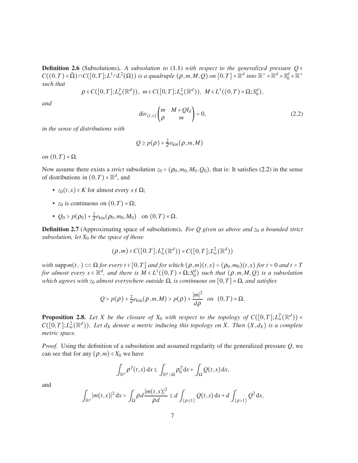**Definition 2.6** (Subsolutions). A subsolution to [\(1.1\)](#page-0-0) with respect to the generalized pressure  $Q \in$  $C((0,T) \times \overline{\Omega}) \cap C([0,T];L^1 \cap L^2(\Omega))$  *is a quadruple*  $(\rho,m,M,Q)$  *on*  $[0,T] \times \mathbb{R}^d$  *into*  $\mathbb{R}^+ \times \mathbb{R}^d \times S_0^d \times \mathbb{R}^+$ *such that*

$$
\rho \in C([0,T];L^{\gamma}_{w}(\mathbb{R}^d)), m \in C([0,T];L^2_{w}(\mathbb{R}^d)), M \in L^1((0,T) \times \Omega; S_0^d),
$$

*and*

<span id="page-6-0"></span>
$$
\operatorname{div}_{(t,x)}\begin{pmatrix} m & M + QI_d \\ \rho & m \end{pmatrix} = 0, \tag{2.2}
$$

*in the sense of distributions with*

$$
Q \geq p(\rho) + \frac{2}{d}e_{\text{kin}}(\rho, m, M)
$$

*on*  $(0,T) \times Ω$ *.* 

Now assume there exists a *strict* subsolution  $z_0 = (\rho_0, m_0, M_0, Q_0)$ , that is: It satisfies [\(2.2\)](#page-6-0) in the sense of distributions in  $(0, T) \times \mathbb{R}^d$ , and

- $z_0(t,x) \in K$  for almost every  $x \notin \Omega$ ;
- *z*<sub>0</sub> is continuous on  $(0, T) \times \Omega$ ;
- $Q_0 > p(\rho_0) + \frac{2}{d}$  $\frac{2}{d}e_{\text{kin}}(\rho_0, m_0, M_0)$  on  $(0, T) \times \Omega$ .

Definition 2.7 (Approximating space of subsolutions). *For Q given as above and z*<sup>0</sup> *a bounded strict subsolution, let X*<sup>0</sup> *be the space of those*

$$
(\rho,m)\in C([0,T];L^{\gamma}_{w}(\mathbb{R}^d))\times C([0,T];L^2_{w}(\mathbb{R}^d))
$$

*with*  $\text{supp } m(t, \cdot) \subset \Omega$  *for every t*  $\in [0, T]$  *and for which*  $(\rho, m)(t, x) = (\rho_0, m_0)(t, x)$  *for t* = 0 *and t* = *T for almost every*  $x \in \mathbb{R}^d$ , *and there is*  $M \in L^1((0,T) \times \Omega; S_0^d)$  *such that*  $(\rho,m,M,Q)$  *is a subsolution which agrees with z*<sub>0</sub> *almost everywhere outside* Ω, *is continuous on* [0,*T*] × Ω, *and satisfies* 

$$
Q > p(\rho) + \frac{2}{d}e_{\text{kin}}(\rho, m, M) > p(\rho) + \frac{|m|^2}{d\rho} \quad on \quad (0, T) \times \Omega.
$$

**Proposition 2.8.** *Let X be the closure of X*<sub>0</sub> *with respect to the topology of*  $C([0,T]; L_w^{\gamma}(\mathbb{R}^d)) \times$  $C([0,T];L^2_w(\mathbb{R}^d))$ *. Let d<sub>X</sub>* denote a metric inducing this topology on X. Then  $(X,d_X)$  is a complete *metric space.*

*Proof.* Using the definition of a subsolution and assumed regularity of the generalized pressure *Q*, we can see that for any  $(\rho, m) \in X_0$  we have

$$
\int_{\mathbb{R}^d} \rho^{\gamma}(t,x) dx \leq \int_{\mathbb{R}^d \setminus \Omega} \rho_0^{\gamma} dx + \int_{\Omega} Q(t,x) dx,
$$

and

$$
\int_{\mathbb{R}^d} |m(t,x)|^2 dx = \int_{\Omega} \rho d \frac{|m(t,x)|^2}{\rho d} \le d \int_{\{\rho \le 1\}} Q(t,x) dx + d \int_{\{\rho > 1\}} Q^2 dx,
$$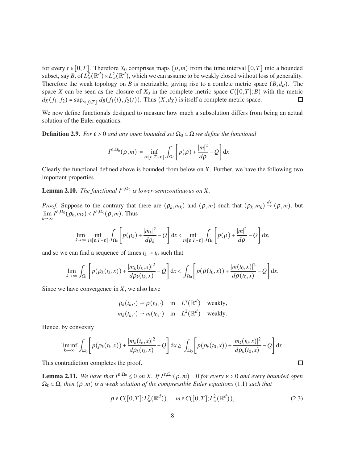for every  $t \in [0, T]$ . Therefore  $X_0$  comprises maps  $(\rho, m)$  from the time interval  $[0, T]$  into a bounded subset, say *B*, of  $L^{\gamma}_w(\mathbb{R}^d) \times L^2_w(\mathbb{R}^d)$ , which we can assume to be weakly closed without loss of generality. Therefore the weak topology on *B* is metrizable, giving rise to a comlete metric space  $(B,d_B)$ . The space *X* can be seen as the closure of  $X_0$  in the complete metric space  $C([0, T]; B)$  with the metric  $dx(f_1, f_2) = \sup_{t \in [0, T]} dg(f_1(t), f_2(t))$ . Thus  $(X, d_X)$  is itself a complete metric space.  $d_X(f_1, f_2) = \sup_{t \in [0,T]} d_B(f_1(t), f_2(t))$ . Thus  $(X, d_X)$  is itself a complete metric space.

We now define functionals designed to measure how much a subsolution differs from being an actual solution of the Euler equations.

<span id="page-7-1"></span>**Definition 2.9.** *For*  $\varepsilon > 0$  *and any open bounded set*  $\Omega_0 \subset \Omega$  *we define the functional* 

$$
I^{\varepsilon,\Omega_0}(\rho,m)=\inf_{t\in[\varepsilon,T-\varepsilon]}\int_{\Omega_0}\left[p(\rho)+\frac{|m|^2}{d\rho}-Q\right]\mathrm{d} x.
$$

Clearly the functional defined above is bounded from below on *X*. Further, we have the following two important properties.

**Lemma 2.10.** *The functional*  $I^{\varepsilon,\Omega_0}$  *is lower-semicontinuous on* X.

*Proof.* Suppose to the contrary that there are  $(\rho_k, m_k)$  and  $(\rho, m)$  such that  $(\rho_k, m_k) \stackrel{d_X}{\rightarrow} (\rho, m)$ , but  $\lim_{k \to \infty} I^{\varepsilon,\Omega_0}(\rho_k, m_k) < I^{\varepsilon,\Omega_0}(\rho, m)$ . Thus

$$
\lim_{k\to\infty}\inf_{t\in\left[\varepsilon,T-\varepsilon\right]}\int_{\Omega_{0}}\left[p(\rho_{k})+\frac{|m_{k}|^{2}}{d\rho_{k}}-Q\right]\mathrm{d}x<\inf_{t\in\left[\varepsilon,T-\varepsilon\right]}\int_{\Omega_{0}}\left[p(\rho)+\frac{|m|^{2}}{d\rho}-Q\right]\mathrm{d}x,
$$

and so we can find a sequence of times  $t_k \rightarrow t_0$  such that

$$
\lim_{k\to\infty}\int_{\Omega_0}\left[p(\rho_k(t_k,x))+\frac{|m_k(t_k,x)|^2}{d\rho_k(t_k,x)}-Q\right]\mathrm{d}x<\int_{\Omega_0}\left[p(\rho(t_0,x))+\frac{|m(t_0,x)|^2}{d\rho(t_0,x)}-Q\right]\mathrm{d}x.
$$

Since we have convergence in *X*, we also have

$$
\rho_k(t_k, \cdot) \to \rho(t_0, \cdot)
$$
 in  $L^{\gamma}(\mathbb{R}^d)$  weakly,  
\n $m_k(t_k, \cdot) \to m(t_0, \cdot)$  in  $L^2(\mathbb{R}^d)$  weakly.

Hence, by convexity

$$
\liminf_{k\to\infty}\int_{\Omega_0}\left[p(\rho_k(t_k,x))+\frac{|m_k(t_k,x)|^2}{d\rho_k(t_k,x)}-Q\right]\mathrm{d} x\geq \int_{\Omega_0}\left[p(\rho_k(t_0,x))+\frac{|m_k(t_0,x)|^2}{d\rho_k(t_0,x)}-Q\right]\mathrm{d} x.
$$

This contradiction completes the proof.

<span id="page-7-2"></span>**Lemma 2.11.** *We have that*  $I^{\varepsilon,\Omega_0} \leq 0$  *on X.* If  $I^{\varepsilon,\Omega_0}(\rho,m) = 0$  for every  $\varepsilon > 0$  and every bounded open  $\Omega_0 \subset \Omega$ , then  $(\rho, m)$  *is a weak solution of the compressible Euler equations* [\(1.1\)](#page-0-0) *such that* 

$$
\rho \in C([0, T]; L^{\gamma}_w(\mathbb{R}^d)), \quad m \in C([0, T]; L^2_w(\mathbb{R}^d)), \tag{2.3}
$$

```
\Box
```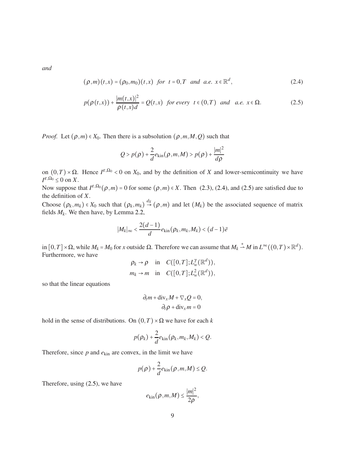*and*

$$
(\rho,m)(t,x) = (\rho_0,m_0)(t,x) \ \ \text{for} \ \ t = 0, T \ \ \text{and} \ \ a.e. \ \ x \in \mathbb{R}^d,
$$

$$
p(\rho(t,x)) + \frac{|m(t,x)|^2}{\rho(t,x)d} = Q(t,x) \text{ for every } t \in (0,T) \text{ and a.e. } x \in \Omega.
$$
 (2.5)

*Proof.* Let  $(\rho, m) \in X_0$ . Then there is a subsolution  $(\rho, m, M, Q)$  such that

<span id="page-8-1"></span><span id="page-8-0"></span>
$$
Q > p(\rho) + \frac{2}{d}e_{\text{kin}}(\rho, m, M) > p(\rho) + \frac{|m|^2}{d\rho}
$$

on  $(0, T) \times \Omega$ . Hence  $I^{\varepsilon, \Omega_0} < 0$  on  $X_0$ , and by the definition of *X* and lower-semicontinuity we have  $I^{\varepsilon,\Omega_0} \leq 0$  on *X*.

Now suppose that  $I^{\varepsilon,\Omega_0}(\rho,m) = 0$  for some  $(\rho,m) \in X$ . Then [\(2.3\)](#page-7-0), [\(2.4\)](#page-8-0), and [\(2.5\)](#page-8-1) are satisfied due to the definition of *X*.

Choose  $(\rho_k, m_k) \in X_0$  such that  $(\rho_k, m_k) \stackrel{d_X}{\rightarrow} (\rho, m)$  and let  $(M_k)$  be the associated sequence of matrix fields  $M_k$ . We then have, by Lemma [2.2,](#page-3-0)

$$
|M_k|_{\infty} < \frac{2(d-1)}{d} e_{\text{kin}}(\rho_k, m_k, M_k) < (d-1)\bar{e}
$$

 $\lim_{\Delta x \to 0}$  [0,*T*] × Ω, while *M<sub>k</sub>* = *M*<sub>0</sub> for *x* outside Ω. Therefore we can assume that *M<sub>k</sub>*  $\stackrel{*}{\rightarrow}$  *M* in *L*<sup>∞</sup> ((0,*T*) × ℝ<sup>*d*</sup>). Furthermore, we have

$$
\rho_k \to \rho \quad \text{in} \quad C([0, T]; L^{\gamma}_w(\mathbb{R}^d)),
$$
  

$$
m_k \to m \quad \text{in} \quad C([0, T]; L^2_w(\mathbb{R}^d)),
$$

so that the linear equations

$$
\partial_t m + \text{div}_x M + \nabla_x Q = 0,
$$
  

$$
\partial_t \rho + \text{div}_x m = 0
$$

hold in the sense of distributions. On  $(0, T) \times \Omega$  we have for each *k* 

$$
p(\rho_k)+\frac{2}{d}e_{\text{kin}}(\rho_k,m_k,M_k)
$$

Therefore, since  $p$  and  $e_{kin}$  are convex, in the limit we have

$$
p(\rho)+\frac{2}{d}e_{\text{kin}}(\rho,m,M)\leq Q.
$$

Therefore, using [\(2.5\)](#page-8-1), we have

$$
e_{\text{kin}}(\rho,m,M) \leq \frac{|m|^2}{2\rho},
$$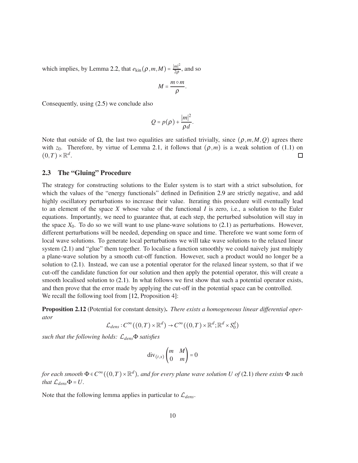which implies, by Lemma [2.2,](#page-3-0) that  $e_{\text{kin}}(\rho, m, M) = \frac{|m|^2}{2\rho}$  $rac{m_1}{2\rho}$ , and so

$$
M=\frac{m\circ m}{\rho}.
$$

Consequently, using [\(2.5\)](#page-8-1) we conclude also

$$
Q = p(\rho) + \frac{|m|^2}{\rho d}.
$$

Note that outside of  $\Omega$ , the last two equalities are satisfied trivially, since ( $ρ, m, M, O$ ) agrees there with *z*<sub>0</sub>. Therefore, by virtue of Lemma [2.1,](#page-2-1) it follows that  $(\rho, m)$  is a weak solution of [\(1.1\)](#page-0-0) on  $(0, T) \times \mathbb{R}^d$ .  $(0,T)\times\mathbb{R}^d$ .

#### 2.3 The "Gluing" Procedure

The strategy for constructing solutions to the Euler system is to start with a strict subsolution, for which the values of the "energy functionals" defined in Definition [2.9](#page-7-1) are strictly negative, and add highly oscillatory perturbations to increase their value. Iterating this procedure will eventually lead to an element of the space *X* whose value of the functional *I* is zero, i.e., a solution to the Euler equations. Importantly, we need to guarantee that, at each step, the perturbed subsolution will stay in the space  $X_0$ . To do so we will want to use plane-wave solutions to  $(2.1)$  as perturbations. However, different perturbations will be needed, depending on space and time. Therefore we want some form of local wave solutions. To generate local perturbations we will take wave solutions to the relaxed linear system [\(2.1\)](#page-2-0) and "glue" them together. To localise a function smoothly we could naively just multiply a plane-wave solution by a smooth cut-off function. However, such a product would no longer be a solution to [\(2.1\)](#page-2-0). Instead, we can use a potential operator for the relaxed linear system, so that if we cut-off the candidate function for our solution and then apply the potential operator, this will create a smooth localised solution to [\(2.1\)](#page-2-0). In what follows we first show that such a potential operator exists, and then prove that the error made by applying the cut-off in the potential space can be controlled. We recall the following tool from [\[12,](#page-20-0) Proposition 4]:

<span id="page-9-0"></span>Proposition 2.12 (Potential for constant density). *There exists a homogeneous linear differential operator*

 $\mathcal{L}_{dens}: C^{\infty}((0,T) \times \mathbb{R}^d) \to C^{\infty}((0,T) \times \mathbb{R}^d; \mathbb{R}^d \times S_0^d)$ 

*such that the following holds:* L*dens*Φ *satisfies*

$$
\operatorname{div}_{(t,x)}\begin{pmatrix} m & M \\ 0 & m \end{pmatrix} = 0
$$

*for each smooth*  $\Phi \in C^{\infty}((0,T) \times \mathbb{R}^d)$ *, and for every plane wave solution U of* [\(2.1\)](#page-2-0) *there exists*  $\Phi$  *such that*  $\mathcal{L}_{dens} \Phi = U$ .

Note that the following lemma applies in particular to  $\mathcal{L}_{dens}$ .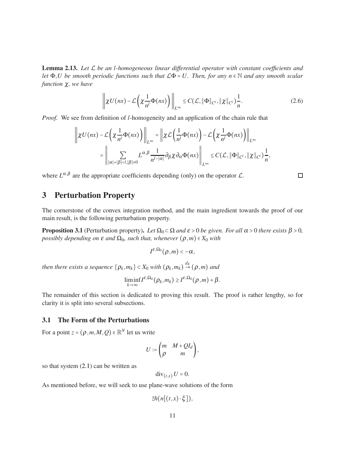<span id="page-10-1"></span>Lemma 2.13. *Let* L *be an l-homogeneous linear differential operator with constant coefficients and let* <sup>Φ</sup>,*U be smooth periodic functions such that* <sup>L</sup><sup>Φ</sup> <sup>=</sup> *U. Then, for any n* <sup>∈</sup> <sup>N</sup> *and any smooth scalar function* χ*, we have*

$$
\left\| \chi U(nx) - \mathcal{L} \left( \chi \frac{1}{n^l} \Phi(nx) \right) \right\|_{L^\infty} \leq C(\mathcal{L}, \|\Phi\|_{C^l}, \|\chi\|_{C^l}) \frac{1}{n}.
$$
 (2.6)

*Proof.* We see from definition of *l*-homogeneity and an application of the chain rule that

$$
\left\| \chi U(nx) - \mathcal{L} \left( \chi \frac{1}{n^l} \Phi(nx) \right) \right\|_{L^{\infty}} = \left\| \chi \mathcal{L} \left( \frac{1}{n^l} \Phi(nx) \right) - \mathcal{L} \left( \chi \frac{1}{n^l} \Phi(nx) \right) \right\|_{L^{\infty}}
$$

$$
= \left\| \sum_{|\alpha|+|\beta|=l, |\beta| \neq 0} L^{\alpha, \beta} \frac{1}{n^{l-|\alpha|}} \partial_{\beta} \chi \partial_{\alpha} \Phi(nx) \right\|_{L^{\infty}} \leq C(\mathcal{L}, \|\Phi\|_{C^l}, \|\chi\|_{C^l}) \frac{1}{n},
$$

where  $L^{\alpha,\beta}$  are the appropriate coefficients depending (only) on the operator  $\mathcal{L}$ .

### 3 Perturbation Property

The cornerstone of the convex integration method, and the main ingredient towards the proof of our main result, is the following perturbation property.

<span id="page-10-3"></span>**Proposition 3.1** (Perturbation property). Let  $\Omega_0 \subset \Omega$  and  $\varepsilon > 0$  be given. For all  $\alpha > 0$  there exists  $\beta > 0$ , *possibly depending on*  $\varepsilon$  *and*  $\Omega_0$ *, such that, whenever*  $(\rho, m) \in X_0$  *with* 

$$
I^{\varepsilon,\Omega_0}(\rho,m)<-\alpha,
$$

*then there exists a sequence*  $\{\rho_k, m_k\} \subset X_0$  *with*  $(\rho_k, m_k) \stackrel{d_X}{\rightarrow} (\rho, m)$  *and* 

$$
\liminf_{k\to\infty} I^{\varepsilon,\Omega_0}(\rho_k,m_k)\geq I^{\varepsilon,\Omega_0}(\rho,m)+\beta.
$$

The remainder of this section is dedicated to proving this result. The proof is rather lengthy, so for clarity it is split into several subsections.

### <span id="page-10-0"></span>3.1 The Form of the Perturbations

For a point  $z = (p, m, M, Q) \in \mathbb{R}^N$  let us write

$$
U := \begin{pmatrix} m & M + QI_d \\ \rho & m \end{pmatrix},
$$

so that system  $(2.1)$  can be written as

$$
\operatorname{div}_{(t,x)} U = 0.
$$

As mentioned before, we will seek to use plane-wave solutions of the form

$$
\bar{z}h(n[(t,x)\cdot\xi]),
$$

<span id="page-10-2"></span> $\Box$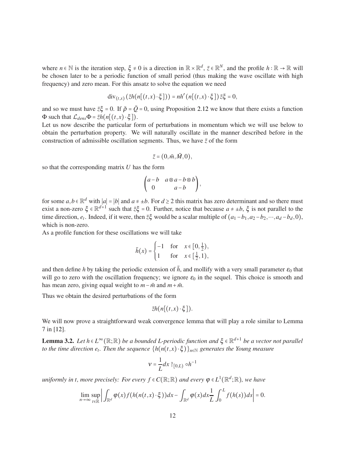where  $n \in \mathbb{N}$  is the iteration step,  $\xi \neq 0$  is a direction in  $\mathbb{R} \times \mathbb{R}^d$ ,  $\overline{z} \in \mathbb{R}^N$ , and the profile  $h : \mathbb{R} \to \mathbb{R}$  will be chosen later to be a periodic function of small period (thus making the wave oscillate with high frequency) and zero mean. For this ansatz to solve the equation we need

$$
\operatorname{div}_{(t,x)}\left(\overline{z}h(n[(t,x)\cdot\xi])\right)=nh'\left(n[(t,x)\cdot\xi]\right)\overline{z}\xi=0,
$$

and so we must have  $\bar{z}\xi = 0$ . If  $\bar{\rho} = \bar{Q} = 0$ , using Proposition [2.12](#page-9-0) we know that there exists a function  $Φ$  such that  $\mathcal{L}_{dens}Φ = \bar{z}h(n[(t, x) \cdot \xi]).$ 

Let us now describe the particular form of perturbations in momentum which we will use below to obtain the perturbation property. We will naturally oscillate in the manner described before in the construction of admissible oscillation segments. Thus, we have  $\bar{z}$  of the form

$$
\bar{z}=(0,\bar{m},\bar{M},0),
$$

so that the corresponding matrix *U* has the form

$$
\begin{pmatrix} a-b & a\otimes a-b\otimes b \\ 0 & a-b \end{pmatrix},
$$

for some *a*,*b* ∈  $\mathbb{R}^d$  with  $|a| = |b|$  and  $a \neq \pm b$ . For  $d \geq 2$  this matrix has zero determinant and so there must exist a non-zero  $\xi \in \mathbb{R}^{d+1}$  such that  $\overline{z}\xi = 0$ . Further, notice that because  $a \neq \pm b$ ,  $\xi$  is not parallel to the time direction,  $e_t$ . Indeed, if it were, then  $\bar{z}\xi$  would be a scalar multiple of  $(a_1 - b_1, a_2 - b_2, \dots, a_d - b_d, 0)$ , which is non-zero.

As a profile function for these oscillations we will take

$$
\bar{h}(x) = \begin{cases}\n-1 & \text{for } x \in \left[0, \frac{1}{2}\right), \\
1 & \text{for } x \in \left[\frac{1}{2}, 1\right),\n\end{cases}
$$

and then define *h* by taking the periodic extension of  $\bar{h}$ , and mollify with a very small parameter  $\varepsilon_0$  that will go to zero with the oscillation frequency; we ignore  $\varepsilon_0$  in the sequel. This choice is smooth and has mean zero, giving equal weight to  $m - \bar{m}$  and  $m + \bar{m}$ .

Thus we obtain the desired perturbations of the form

$$
\bar{z}h(n[(t,x)\cdot\xi]).
$$

We will now prove a straightforward weak convergence lemma that will play a role similar to Lemma 7 in [\[12\]](#page-20-0).

<span id="page-11-0"></span>Lemma 3.2. *Let h* ∈ *L* <sup>∞</sup>(R;R) *be a bounded L-periodic function and* <sup>ξ</sup> ∈ R *d*+1 *be a vector not parallel to the time direction e<sup>t</sup> . Then the sequence* {*h*(*n*(*t*,*x*) <sup>⋅</sup><sup>ξ</sup> )}*n*∈<sup>N</sup> *generates the Young measure*

$$
v = \frac{1}{L} dx \upharpoonright_{[0,L)} \circ h^{-1}
$$

*uniformly in t, more precisely: For every*  $f \in C(\mathbb{R}; \mathbb{R})$  and every  $\varphi \in L^1(\mathbb{R}^d; \mathbb{R})$ , we have

$$
\lim_{n\to\infty}\sup_{t\in\mathbb{R}}\left|\int_{\mathbb{R}^d}\varphi(x)f\big(h(n(t,x)\cdot\xi)\big)dx-\int_{\mathbb{R}^d}\varphi(x)dx\frac{1}{L}\int_0^Lf(h(s))ds\right|=0.
$$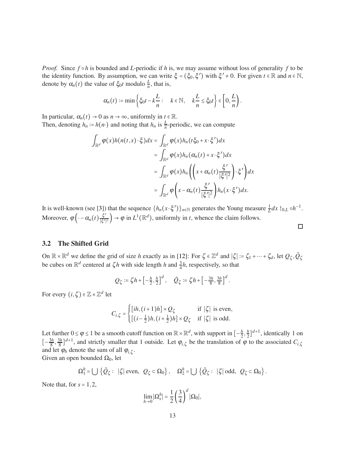*Proof.* Since *f* ∘*h* is bounded and *L*-periodic if *h* is, we may assume without loss of generality *f* to be the identity function. By assumption, we can write  $\xi = (\xi_0, \xi')$  with  $\xi' \neq 0$ . For given  $t \in \mathbb{R}$  and  $n \in \mathbb{N}$ , denote by  $\alpha_n(t)$  the value of  $\xi_0 t$  modulo  $\frac{L}{n}$ , that is,

$$
\alpha_n(t) := \min \left\{ \xi_0 t - k \frac{L}{n} : \quad k \in \mathbb{N}, \quad k \frac{L}{n} \le \xi_0 t \right\} \in \left[0, \frac{L}{n}\right).
$$

In particular,  $\alpha_n(t) \to 0$  as  $n \to \infty$ , uniformly in  $t \in \mathbb{R}$ . Then, denoting  $h_n := h(n \cdot)$  and noting that  $h_n$  is  $\frac{L}{n}$ -periodic, we can compute

$$
\int_{\mathbb{R}^d} \varphi(x) h(n(t,x) \cdot \xi) dx = \int_{\mathbb{R}^d} \varphi(x) h_n(t\xi_0 + x \cdot \xi') dx
$$
  
\n
$$
= \int_{\mathbb{R}^d} \varphi(x) h_n(\alpha_n(t) + x \cdot \xi') dx
$$
  
\n
$$
= \int_{\mathbb{R}^d} \varphi(x) h_n \left( \left( x + \alpha_n(t) \frac{\xi'}{|\xi'|^2} \right) \cdot \xi' \right) dx
$$
  
\n
$$
= \int_{\mathbb{R}^d} \varphi \left( x - \alpha_n(t) \frac{\xi'}{|\xi'|^2} \right) h_n(x \cdot \xi') dx.
$$

It is well-known (see [\[3\]](#page-19-9)) that the sequence  $\{h_n(x \cdot \xi')\}_{n \in \mathbb{N}}$  generates the Young measure  $\frac{1}{L}dx \upharpoonright_{0,L} \circ h^{-1}$ . Moreover,  $\varphi\left(\cdot - \alpha_n(t)\frac{\xi'}{|\xi'|}\right)$  $\left(\frac{\xi'}{|\xi'|^2}\right) \to \varphi$  in  $L^1(\mathbb{R}^d)$ , uniformly in *t*, whence the claim follows.  $\Box$ 

### 3.2 The Shifted Grid

On  $\mathbb{R} \times \mathbb{R}^d$  we define the grid of size *h* exactly as in [\[12\]](#page-20-0): For  $\zeta \in \mathbb{Z}^d$  and  $|\zeta| := \zeta_1 + \cdots + \zeta_d$ , let  $Q_\zeta, \tilde{Q}_\zeta$ be cubes on  $\mathbb{R}^d$  centered at  $\zeta h$  with side length *h* and  $\frac{3}{4}h$ , respectively, so that

$$
Q_{\zeta} \coloneqq \zeta h + \left[-\frac{h}{2}, \frac{h}{2}\right]^d, \quad \tilde{Q}_{\zeta} \coloneqq \zeta h + \left[-\frac{3h}{8}, \frac{3h}{8}\right]^d.
$$

For every  $(i, \zeta) \in \mathbb{Z} \times \mathbb{Z}^d$  let

$$
C_{i,\zeta} = \begin{cases} [ih, (i+1)h] \times Q_{\zeta} & \text{if } |\zeta| \text{ is even,} \\ [(i-\frac{1}{2})h, (i+\frac{1}{2})h] \times Q_{\zeta} & \text{if } |\zeta| \text{ is odd.} \end{cases}
$$

Let further  $0 \le \varphi \le 1$  be a smooth cutoff function on  $\mathbb{R} \times \mathbb{R}^d$ , with support in  $\left[-\frac{h}{2}\right]$  $\frac{h}{2}, \frac{h}{2}$  $\frac{h}{2}$ ]<sup>d+1</sup>, identically 1 on  $\left[-\frac{3h}{8}\right]$  $\frac{3h}{8}$ ,  $\frac{3h}{8}$  $\frac{8h}{8}$ <sup>1</sup><sup>d+1</sup>, and strictly smaller that 1 outside. Let  $\varphi_{i,\zeta}$  be the translation of  $\varphi$  to the associated  $C_{i,\zeta}$ and let  $\varphi_h$  denote the sum of all  $\varphi_{i,\zeta}$ . Given an open bounded  $\Omega_0$ , let

$$
\Omega_1^h = \bigcup \{ \tilde{Q}_{\zeta} : |\zeta| \text{ even, } Q_{\zeta} \subset \Omega_0 \}, \quad \Omega_2^h = \bigcup \{ \tilde{Q}_{\zeta} : |\zeta| \text{ odd, } Q_{\zeta} \subset \Omega_0 \}.
$$

Note that, for  $s = 1, 2$ ,

$$
\lim_{h\to 0} |\Omega_s^h| = \frac{1}{2} \left(\frac{3}{4}\right)^d |\Omega_0|,
$$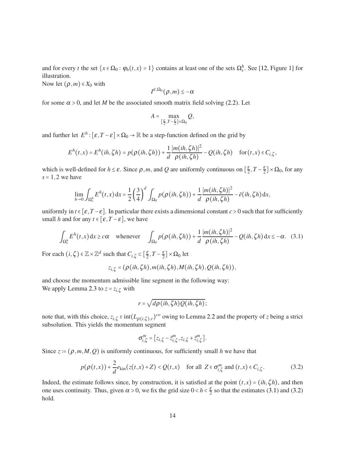and for every *t* the set  $\{x \in \Omega_0 : \varphi_h(t,x) = 1\}$  contains at least one of the sets  $\Omega_s^h$ . See [\[12,](#page-20-0) Figure 1] for illustration.

Now let  $(\rho, m) \in X_0$  with

$$
I^{\varepsilon,\Omega_0}(\rho,m)\leq-\alpha
$$

for some  $\alpha > 0$ , and let *M* be the associated smooth matrix field solving [\(2.2\)](#page-6-0). Let

$$
A = \max_{\left[\frac{\varepsilon}{2}, T - \frac{\varepsilon}{2}\right] \times \Omega_0} Q,
$$

and further let  $E^h$  :  $[\varepsilon, T - \varepsilon] \times \Omega_0 \to \mathbb{R}$  be a step-function defined on the grid by

$$
E^h(t,x) = E^h(ih,\zeta h) = p(\rho(ih,\zeta h)) + \frac{1}{d} \frac{|m(ih,\zeta h)|^2}{\rho(ih,\zeta h)} - Q(ih,\zeta h) \quad \text{for } (t,x) \in C_{i,\zeta},
$$

which is well-defined for  $h \leq \varepsilon$ . Since  $\rho$ ,*m*, and *Q* are uniformly continuous on  $\left[\frac{\varepsilon}{2}, T - \frac{\varepsilon}{2}\right] \times \Omega_0$ , for any  $s = 1, 2$  we have

$$
\lim_{h\to 0}\int_{\Omega_s^h}E^h(t,x)\,dx=\frac{1}{2}\left(\frac{3}{4}\right)^d\int_{\Omega_0}p(\rho(ih,\zeta h))+\frac{1}{d}\frac{|m(ih,\zeta h)|^2}{\rho(ih,\zeta h)}-\bar{e}(ih,\zeta h)\,dx,
$$

uniformly in  $t \in [\varepsilon, T - \varepsilon]$ . In particular there exists a dimensional constant  $c > 0$  such that for sufficiently small *h* and for any  $t \in [\varepsilon, T - \varepsilon]$ , we have

$$
\int_{\Omega_s^h} E^h(t,x) \, dx \ge c\alpha \quad \text{whenever} \quad \int_{\Omega_0} p(\rho(ih,\zeta h)) + \frac{1}{d} \frac{|m(ih,\zeta h)|^2}{\rho(ih,\zeta h)} - Q(ih,\zeta h) \, dx \le -\alpha. \tag{3.1}
$$

For each  $(i, \zeta) \in \mathbb{Z} \times \mathbb{Z}^d$  such that  $C_{i, \zeta} \subset \left[\frac{\varepsilon}{2}, T - \frac{\varepsilon}{2}\right] \times \Omega_0$  let

$$
z_{i,\zeta}=(\rho(ih,\zeta h),m(ih,\zeta h),M(ih,\zeta h),Q(ih,\zeta h)),
$$

and choose the momentum admissible line segment in the following way: We apply Lemma [2.3](#page-3-1) to  $z = z_{i,\zeta}$  with

<span id="page-13-0"></span>
$$
r = \sqrt{d\rho(ih,\zeta h)Q(ih,\zeta h)};
$$

note that, with this choice,  $z_{i,\zeta} \in \text{int}(L_{\rho(i,\zeta),r})^{co}$  owing to Lemma [2.2](#page-3-0) and the property of *z* being a strict subsolution. This yields the momentum segment

<span id="page-13-1"></span>
$$
\sigma_{i,\zeta}^m = [z_{i,\zeta} - \overline{z}_{i,\zeta}^m, z_{i,\zeta} + \overline{z}_{i,\zeta}^m].
$$

Since  $z = (\rho, m, M, Q)$  is uniformly continuous, for sufficiently small *h* we have that

$$
p(\rho(t,x)) + \frac{2}{d}e_{\text{kin}}(z(t,x) + Z) < Q(t,x) \quad \text{for all } Z \in \sigma_{i,\zeta}^m \text{ and } (t,x) \in C_{i,\zeta}.\tag{3.2}
$$

Indeed, the estimate follows since, by construction, it is satisfied at the point  $(t, x) = (ih, \zeta h)$ , and then one uses continuity. Thus, given  $\alpha > 0$ , we fix the grid size  $0 < h < \frac{\varepsilon}{2}$  so that the estimates [\(3.1\)](#page-13-0) and [\(3.2\)](#page-13-1) hold.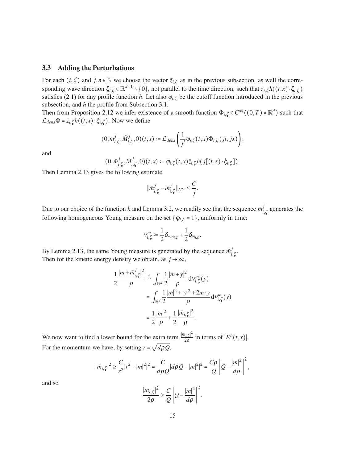#### 3.3 Adding the Perturbations

For each  $(i, \zeta)$  and  $j, n \in \mathbb{N}$  we choose the vector  $\overline{z}_{i,\zeta}$  as in the previous subsection, as well the corresponding wave direction  $\xi_{i,\zeta} \in \mathbb{R}^{d+1} \setminus \{0\}$ , not parallel to the time direction, such that  $\overline{z}_{i,\zeta}h((t,x) \cdot \xi_{i,\zeta})$ satisfies [\(2.1\)](#page-2-0) for any profile function *h*. Let also  $\varphi_{i,\zeta}$  be the cutoff function introduced in the previous subsection, and *h* the profile from Subsection [3.1.](#page-10-0)

Then from Proposition [2.12](#page-9-0) we infer existence of a smooth function  $\Phi_{i,\zeta} \in C^{\infty}((0,T) \times \mathbb{R}^d)$  such that  $\mathcal{L}_{dens} \Phi = \bar{z}_{i,\zeta} h((t,x) \cdot \xi_{i,\zeta})$ . Now we define

$$
(0,\tilde{m}_{i,\zeta}^j,\tilde{M}_{i,\zeta}^j,0)(t,x):=\mathcal{L}_{dens}\left(\frac{1}{j^l}\varphi_{i,\zeta}(t,x)\Phi_{i,\zeta}(jt,jx)\right),\,
$$

and

$$
(0,\bar{m}_{i,\zeta}^j,\bar{M}_{i,\zeta}^j,0)(t,x):=\varphi_{i,\zeta}(t,x)\bar{z}_{i,\zeta}h(j[(t,x)\cdot\xi_{i,\zeta}]).
$$

Then Lemma [2.13](#page-10-1) gives the following estimate

$$
\|\bar m_{i,\zeta}^j - \tilde m_{i,\zeta}^j\|_{L^\infty} \leq \frac{C}{j}.
$$

Due to our choice of the function *h* and Lemma [3.2,](#page-11-0) we readily see that the sequence  $\bar{m}^j_i$  $\int_{i,\zeta}^{j}$  generates the following homogeneous Young measure on the set  $\{\varphi_{i,\zeta} = 1\}$ , uniformly in time:

$$
v_{i,\zeta}^m \coloneqq \frac{1}{2} \delta_{-\bar{m}_{i,\zeta}} + \frac{1}{2} \delta_{\bar{m}_{i,\zeta}}.
$$

By Lemma [2.13,](#page-10-1) the same Young measure is generated by the sequence  $\tilde{m}^j_i$ *i*,ζ . Then for the kinetic energy density we obtain, as  $j \rightarrow \infty$ ,

$$
\frac{1}{2} \frac{|m + \bar{m}_{i,\zeta}^j|^2}{\rho} \stackrel{*}{\rightharpoonup} \int_{\mathbb{R}^d} \frac{1}{2} \frac{|m + y|^2}{\rho} \, \mathrm{d}v_{i,\zeta}^m(y) \\
= \int_{\mathbb{R}^d} \frac{1}{2} \frac{|m|^2 + |y|^2 + 2m \cdot y}{\rho} \, \mathrm{d}v_{i,\zeta}^m(y) \\
= \frac{1}{2} \frac{|m|^2}{\rho} + \frac{1}{2} \frac{|\bar{m}_{i,\zeta}|^2}{\rho}.
$$

We now want to find a lower bound for the extra term  $\frac{|\bar{m}_{i,\zeta}|^2}{20}$  $\frac{a_{i,\zeta}|^2}{2\rho}$  in terms of  $|E^h(t,x)|$ . For the momentum we have, by setting  $r = \sqrt{d\rho Q}$ ,

$$
\big|\bar{m}_{i,\zeta}\big|^2 \geq \frac{C}{r^2} |r^2 - |m|^2|^2 = \frac{C}{d\rho Q} |d\rho Q - |m|^2|^2 = \frac{C\rho}{Q} \left|Q - \frac{|m|^2}{d\rho}\right|^2,
$$

and so

$$
\frac{|\bar{m}_{i,\zeta}|^2}{2\rho} \geq \frac{C}{Q} \left| Q - \frac{|m|^2}{d\rho} \right|^2.
$$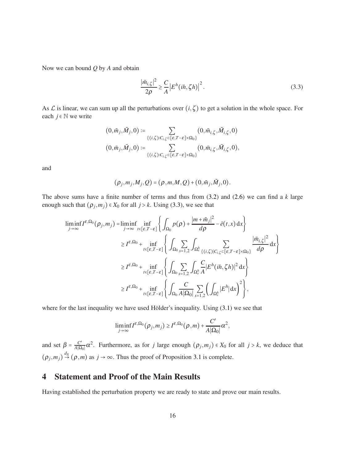Now we can bound *Q* by *A* and obtain

<span id="page-15-1"></span>
$$
\frac{|\bar{m}_{i,\zeta}|^2}{2\rho} \ge \frac{C}{A} \left| E^h(ih,\zeta h) \right|^2. \tag{3.3}
$$

As  $\mathcal L$  is linear, we can sum up all the perturbations over  $(i, \zeta)$  to get a solution in the whole space. For each  $j \in \mathbb{N}$  we write

$$
\begin{aligned} \big(0,\tilde{m}_j,\tilde{M}_j,0\big) &\coloneqq \sum_{\{(i,\zeta): C_{i,\zeta}\subset [\varepsilon,T-\varepsilon]\times\Omega_0\}} \big(0,\tilde{m}_{i,\zeta},\tilde{M}_{i,\zeta},0\big)\\ \big(0,\bar{m}_j,\bar{M}_j,0\big) &\coloneqq \sum_{\{(i,\zeta): C_{i,\zeta}\subset [\varepsilon,T-\varepsilon]\times\Omega_0\}} \big(0,\bar{m}_{i,\zeta},\bar{M}_{i,\zeta},0\big), \end{aligned}
$$

and

$$
(\rho_j,m_j,M_j,Q)=(\rho,m,M,Q)+(0,\tilde{m}_j,\tilde{M}_j,0).
$$

The above sums have a finite number of terms and thus from [\(3.2\)](#page-13-1) and [\(2.6\)](#page-10-2) we can find a *k* large enough such that  $(\rho_j, m_j) \in X_0$  for all  $j > k$ . Using [\(3.3\)](#page-15-1), we see that

$$
\begin{split} \liminf_{j \to \infty} I^{\varepsilon, \Omega_{0}}(\rho_{j}, m_{j}) = & \liminf_{j \to \infty} \inf_{t \in [\varepsilon, T - \varepsilon]} \left\{ \int_{\Omega_{0}} p(\rho) + \frac{|m + \tilde{m}_{j}|^{2}}{d\rho} - \bar{e}(t, x) dx \right\} \\ & \geq I^{\varepsilon, \Omega_{0}} + \inf_{t \in [\varepsilon, T - \varepsilon]} \left\{ \int_{\Omega_{0}} \sum_{s = 1, 2} \int_{\Omega_{s}^{h}} \sum_{\{(i, \zeta) | C_{i, \zeta} \subset [\varepsilon, T - \varepsilon] \times \Omega_{0}\}} \frac{|\bar{m}_{i, \zeta}|^{2}}{d\rho} dx \right\} \\ & \geq I^{\varepsilon, \Omega_{0}} + \inf_{t \in [\varepsilon, T - \varepsilon]} \left\{ \int_{\Omega_{0}} \sum_{s = 1, 2} \int_{\Omega_{s}^{h}} \frac{C}{A} |E^{h}(ih, \zeta h)|^{2} dx \right\} \\ & \geq I^{\varepsilon, \Omega_{0}} + \inf_{t \in [\varepsilon, T - \varepsilon]} \left\{ \int_{\Omega_{0}} \frac{C}{A |\Omega_{0}|} \sum_{s = 1, 2} \left( \int_{\Omega_{s}^{h}} |E^{h}| dx \right)^{2} \right\}, \end{split}
$$

where for the last inequality we have used Hölder's inequality. Using [\(3.1\)](#page-13-0) we see that

$$
\liminf_{j\to\infty} I^{\varepsilon,\Omega_0}(\rho_j,m_j)\geq I^{\varepsilon,\Omega_0}(\rho,m)+\frac{C'}{A|\Omega_0|}\alpha^2,
$$

and set  $\beta = \frac{C'}{A|\Omega}$  $\frac{C'}{A|Ω_0|}α^2$ . Furthermore, as for *j* large enough  $(ρ_j, m_j) ∈ X_0$  for all *j* > *k*, we deduce that  $(\rho_j, m_j) \stackrel{dx}{\rightarrow} (\rho, m)$  as  $j \rightarrow \infty$ . Thus the proof of Proposition [3.1](#page-10-3) is complete.

# <span id="page-15-0"></span>4 Statement and Proof of the Main Results

Having established the perturbation property we are ready to state and prove our main results.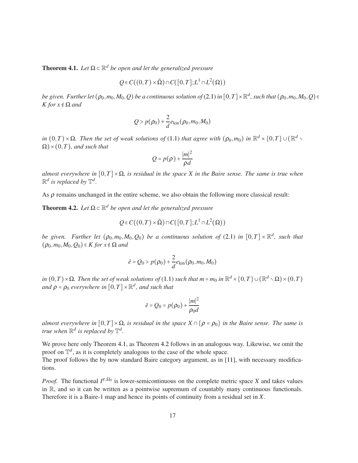**Theorem 4.1.** Let  $\Omega \subset \mathbb{R}^d$  be open and let the generalized pressure

$$
Q \in C((0,T) \times \bar{\Omega}) \cap C([0,T];L^1 \cap L^2(\Omega))
$$

*be given. Further let*  $(\rho_0, m_0, M_0, Q)$  *be a continuous solution of* [\(2.1\)](#page-2-0) *in*  $[0, T] \times \mathbb{R}^d$ , *such that*  $(\rho_0, m_0, M_0, Q) \in$ *K* for  $x \notin \Omega$  *and* 

$$
Q > p(\rho_0) + \frac{2}{d}e_{\text{kin}}(\rho_0, m_0, M_0)
$$

 $\overline{P}(0,T) \times \Omega$ *. Then the set of weak solutions of* [\(1.1\)](#page-0-0) *that agree with*  $(\rho_0,m_0)$  *in*  $\mathbb{R}^d \times \{0,T\} \cup (\mathbb{R}^d \times \Omega)$  $\Omega$ ) × (0,*T*)*, and such that* 

$$
Q=p(\rho)+\frac{|m|^2}{\rho d}
$$

*almost everywhere in*  $[0,T] \times \Omega$ *, is residual in the space X in the Baire sense. The same is true when*  $\mathbb{R}^d$  is replaced by  $\mathbb{T}^d$ .

As  $\rho$  remains unchanged in the entire scheme, we also obtain the following more classical result:

**Theorem 4.2.** Let  $\Omega \subset \mathbb{R}^d$  be open and let the generalized pressure

$$
Q \in C((0,T) \times \bar{\Omega}) \cap C([0,T];L^1 \cap L^2(\Omega))
$$

*be given.* Further let  $(\rho_0, m_0, M_0, Q_0)$  *be a continuous solution of* [\(2.1\)](#page-2-0) *in*  $[0, T] \times \mathbb{R}^d$ , *such that*  $(\rho_0, m_0, M_0, Q_0) \in K$  *for*  $x \notin \Omega$  *and* 

$$
\bar{e} = Q_0 > p(\rho_0) + \frac{2}{d}e_{\text{kin}}(\rho_0, m_0, M_0)
$$

*in*  $(0, T) \times Ω$ *. Then the set of weak solutions of* [\(1.1\)](#page-0-0) *such that m* = *m*<sub>0</sub> *in*  $\mathbb{R}^d \times \{0, T\} \cup (\mathbb{R}^d \setminus Ω) \times (0, T)$ and  $\rho = \rho_0$  everywhere in  $[0, T] \times \mathbb{R}^d$ , and such that

$$
\bar{e} = Q_0 = p(\rho_0) + \frac{|m|^2}{\rho_0 d}
$$

*almost everywhere in*  $[0,T] \times \Omega$ *, is residual in the space*  $X \cap \{p = \rho_0\}$  *in the Baire sense. The same is true when*  $\mathbb{R}^d$  *is replaced by*  $\mathbb{T}^d$ *.* 

We prove here only Theorem [4.1,](#page-18-0) as Theorem [4.2](#page-19-7) follows in an analogous way. Likewise, we omit the proof on  $\mathbb{T}^d$ , as it is completely analogous to the case of the whole space.

The proof follows the by now standard Baire category argument, as in [\[11\]](#page-20-4), with necessary modifications.

*Proof.* The functional  $I^{\varepsilon,\Omega_0}$  is lower-semicontinuous on the complete metric space *X* and takes values in R, and so it can be written as a pointwise supremum of countably many continuous functionals. Therefore it is a Baire-1 map and hence its points of continuity from a residual set in *X*.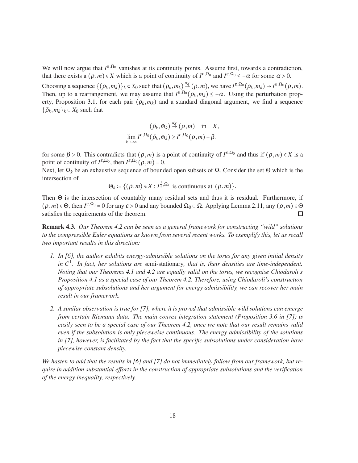We will now argue that  $I^{\varepsilon,\Omega_0}$  vanishes at its continuity points. Assume first, towards a contradiction, that there exists a  $(\rho, m) \in X$  which is a point of continuity of  $I^{\varepsilon, \Omega_0}$  and  $I^{\varepsilon, \Omega_0} \le -\alpha$  for some  $\alpha > 0$ . Choosing a sequence  $\{(\rho_k, m_k)\}_k \subset X_0$  such that  $(\rho_k, m_k) \stackrel{dx}{\to} (\rho, m)$ , we have  $I^{\varepsilon, \Omega_0}(\rho_k, m_k) \to I^{\varepsilon, \Omega_0}(\rho, m)$ . Then, up to a rearrangement, we may assume that  $I^{\varepsilon,\Omega_0}(\rho_k,m_k) \leq -\alpha$ . Using the perturbation prop-erty, Proposition [3.1,](#page-10-3) for each pair  $(\rho_k, m_k)$  and a standard diagonal argument, we find a sequence  $\{\tilde{\rho}_k, \tilde{m}_k\}_k \subset X_0$  such that

$$
(\tilde{\rho}_k, \tilde{m}_k) \stackrel{d_X}{\rightarrow} (\rho, m) \text{ in } X, \n\lim_{k \to \infty} I^{\varepsilon, \Omega_0}(\tilde{\rho}_k, \tilde{m}_k) \geq I^{\varepsilon, \Omega_0}(\rho, m) + \beta,
$$

for some  $\beta > 0$ . This contradicts that  $(\rho, m)$  is a point of continuity of  $I^{\varepsilon, \Omega_0}$  and thus if  $(\rho, m) \in X$  is a point of continuity of  $I^{\varepsilon,\Omega_0}$ , then  $I^{\varepsilon,\Omega_0}(\rho,m) = 0$ .

Next, let Ω<sub>k</sub> be an exhaustive sequence of bounded open subsets of Ω. Consider the set Θ which is the intersection of

$$
\Theta_k := \{(\rho,m) \in X : I^{\frac{1}{k},\Omega_k} \text{ is continuous at } (\rho,m)\}.
$$

Then Θ is the intersection of countably many residual sets and thus it is residual. Furthermore, if  $(\rho, m) \in \Theta$ , then  $I^{\varepsilon, \Omega_0} = 0$  for any  $\varepsilon > 0$  and any bounded  $\Omega_0 \subset \Omega$ . Applying Lemma [2.11,](#page-7-2) any  $(\rho, m) \in \Theta$ satisfies the requirements of the theorem.

Remark 4.3. *Our Theorem [4.2](#page-19-7) can be seen as a general framework for constructing "wild" solutions to the compressible Euler equations as known from several recent works. To exemplify this, let us recall two important results in this direction:*

- *1. In [\[6\]](#page-19-1), the author exhibits energy-admissible solutions on the torus for any given initial density in C*<sup>1</sup> *. In fact, her solutions are* semi-stationary*, that is, their densities are time-independent. Noting that our Theorems [4.1](#page-18-0) and [4.2](#page-19-7) are equally valid on the torus, we recognise Chiodaroli's Proposition 4.1 as a special case of our Theorem [4.2.](#page-19-7) Therefore, using Chiodaroli's construction of appropriate subsolutions and her argument for energy admissibility, we can recover her main result in our framework.*
- *2. A similar observation is true for [\[7\]](#page-19-2), where it is proved that admissible wild solutions can emerge from certain Riemann data. The main convex integration statement (Proposition 3.6 in [\[7\]](#page-19-2)) is easily seen to be a special case of our Theorem [4.2,](#page-19-7) once we note that our result remains valid even if the subsolution is only pieceweise continuous. The energy admissibility of the solutions in [\[7\]](#page-19-2), however, is facilitated by the fact that the specific subsolutions under consideration have piecewise constant density.*

*We hasten to add that the results in [\[6\]](#page-19-1) and [\[7\]](#page-19-2) do not immediately follow from our framework, but require in addition substantial efforts in the construction of appropriate subsolutions and the verification of the energy inequality, respectively.*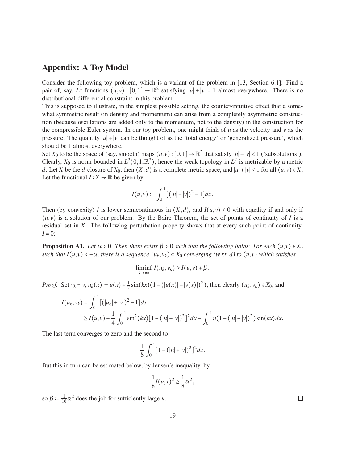### Appendix: A Toy Model

Consider the following toy problem, which is a variant of the problem in [\[13,](#page-20-9) Section 6.1]: Find a pair of, say,  $L^2$  functions  $(u, v) : [0, 1] \to \mathbb{R}^2$  satisfying  $|u| + |v| = 1$  almost everywhere. There is no distributional differential constraint in this problem.

This is supposed to illustrate, in the simplest possible setting, the counter-intuitive effect that a somewhat symmetric result (in density and momentum) can arise from a completely asymmetric construction (because oscillations are added only to the momentum, not to the density) in the construction for the compressible Euler system. In our toy problem, one might think of *u* as the velocity and *v* as the pressure. The quantity  $|u| + |v|$  can be thought of as the 'total energy' or 'generalized pressure', which should be 1 almost everywhere.

Set  $X_0$  to be the space of (say, smooth) maps  $(u, v) : [0, 1] \to \mathbb{R}^2$  that satisfy  $|u| + |v| < 1$  ('subsolutions'). Clearly,  $X_0$  is norm-bounded in  $L^2(0,1;\mathbb{R}^2)$ , hence the weak topology in  $L^2$  is metrizable by a metric *d*. Let *X* be the *d*-closure of  $X_0$ , then  $(X, d)$  is a complete metric space, and  $|u| + |v| \le 1$  for all  $(u, v) \in X$ . Let the functional  $I: X \to \mathbb{R}$  be given by

$$
I(u,v) \coloneqq \int_0^1 [(|u|+|v|)^2 - 1] dx.
$$

Then (by convexity) *I* is lower semicontinuous in  $(X,d)$ , and  $I(u, v) \le 0$  with equality if and only if  $(u, v)$  is a solution of our problem. By the Baire Theorem, the set of points of continuity of *I* is a residual set in *X*. The following perturbation property shows that at every such point of continuity,  $I = 0$ :

<span id="page-18-0"></span>**Proposition A1.** *Let*  $\alpha > 0$ *. Then there exists*  $\beta > 0$  *such that the following holds: For each*  $(u, v) \in X_0$ *such that*  $I(u, v) < -\alpha$ , *there is a sequence*  $(u_k, v_k) \subset X_0$  *converging (w.r.t. d) to*  $(u, v)$  *which satisfies* 

$$
\liminf_{k\to\infty} I(u_k,v_k) \geq I(u,v) + \beta.
$$

*Proof.* Set  $v_k = v$ ,  $u_k(x) := u(x) + \frac{1}{2}$  $\frac{1}{2}\sin(kx)(1-(|u(x)|+|v(x)|)^2)$ , then clearly  $(u_k, v_k) \in X_0$ , and

$$
I(u_k, v_k) = \int_0^1 \left[ (|u_k| + |v|)^2 - 1 \right] dx
$$
  
 
$$
\geq I(u, v) + \frac{1}{4} \int_0^1 \sin^2(kx) \left[ 1 - (|u| + |v|)^2 \right]^2 dx + \int_0^1 u \left( 1 - (|u| + |v|)^2 \right) \sin(kx) dx.
$$

The last term converges to zero and the second to

$$
\frac{1}{8} \int_0^1 [1 - (|u| + |v|)^2]^2 dx.
$$

But this in turn can be estimated below, by Jensen's inequality, by

$$
\frac{1}{8}I(u,v)^2 \geq \frac{1}{8}\alpha^2,
$$

so  $\beta = \frac{1}{16}\alpha^2$  does the job for sufficiently large *k*.

 $\Box$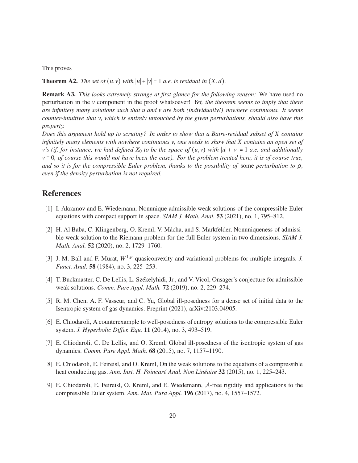This proves

<span id="page-19-7"></span>**Theorem A2.** *The set of*  $(u, v)$  *with*  $|u| + |v| = 1$  *a.e. is residual in*  $(X, d)$ *.* 

Remark A3. *This looks extremely strange at first glance for the following reason:* We have used no perturbation in the *v* component in the proof whatsoever! *Yet, the theorem seems to imply that there are infinitely many solutions such that u and v are both (individually!) nowhere continuous. It seems counter-intuitive that v, which is entirely untouched by the given perturbations, should also have this property.*

*Does this argument hold up to scrutiny? In order to show that a Baire-residual subset of X contains infinitely many elements with nowhere continuous v, one needs to show that X contains an open set of v*'s (if, for instance, we had defined  $X_0$  to be the space of  $(u, v)$  with  $|u| + |v| = 1$  *a.e. and additionally v* ≡ 0*, of course this would not have been the case). For the problem treated here, it is of course true, and so it is for the compressible Euler problem, thanks to the possibility of* some *perturbation to* ρ*, even if the density perturbation is not required.*

### <span id="page-19-0"></span>References

- <span id="page-19-4"></span>[1] I. Akramov and E. Wiedemann, Nonunique admissible weak solutions of the compressible Euler equations with compact support in space. *SIAM J. Math. Anal.* 53 (2021), no. 1, 795–812.
- [2] H. Al Baba, C. Klingenberg, O. Kreml, V. Mácha, and S. Markfelder, Nonuniqueness of admissible weak solution to the Riemann problem for the full Euler system in two dimensions. *SIAM J. Math. Anal.* 52 (2020), no. 2, 1729–1760.
- <span id="page-19-9"></span>[3] J. M. Ball and F. Murat,  $W^{1,p}$ -quasiconvexity and variational problems for multiple integrals. *J*. *Funct. Anal.* 58 (1984), no. 3, 225–253.
- <span id="page-19-6"></span><span id="page-19-3"></span>[4] T. Buckmaster, C. De Lellis, L. Székelyhidi, Jr., and V. Vicol, Onsager's conjecture for admissible weak solutions. *Comm. Pure Appl. Math.* 72 (2019), no. 2, 229–274.
- [5] R. M. Chen, A. F. Vasseur, and C. Yu, Global ill-posedness for a dense set of initial data to the Isentropic system of gas dynamics. Preprint (2021), arXiv:2103.04905.
- <span id="page-19-1"></span>[6] E. Chiodaroli, A counterexample to well-posedness of entropy solutions to the compressible Euler system. *J. Hyperbolic Differ. Equ.* 11 (2014), no. 3, 493–519.
- <span id="page-19-5"></span><span id="page-19-2"></span>[7] E. Chiodaroli, C. De Lellis, and O. Kreml, Global ill-posedness of the isentropic system of gas dynamics. *Comm. Pure Appl. Math.* 68 (2015), no. 7, 1157–1190.
- [8] E. Chiodaroli, E. Feireisl, and O. Kreml, On the weak solutions to the equations of a compressible heat conducting gas. *Ann. Inst. H. Poincaré Anal. Non Linéaire* 32 (2015), no. 1, 225–243.
- <span id="page-19-8"></span>[9] E. Chiodaroli, E. Feireisl, O. Kreml, and E. Wiedemann, A-free rigidity and applications to the compressible Euler system. *Ann. Mat. Pura Appl.* 196 (2017), no. 4, 1557–1572.